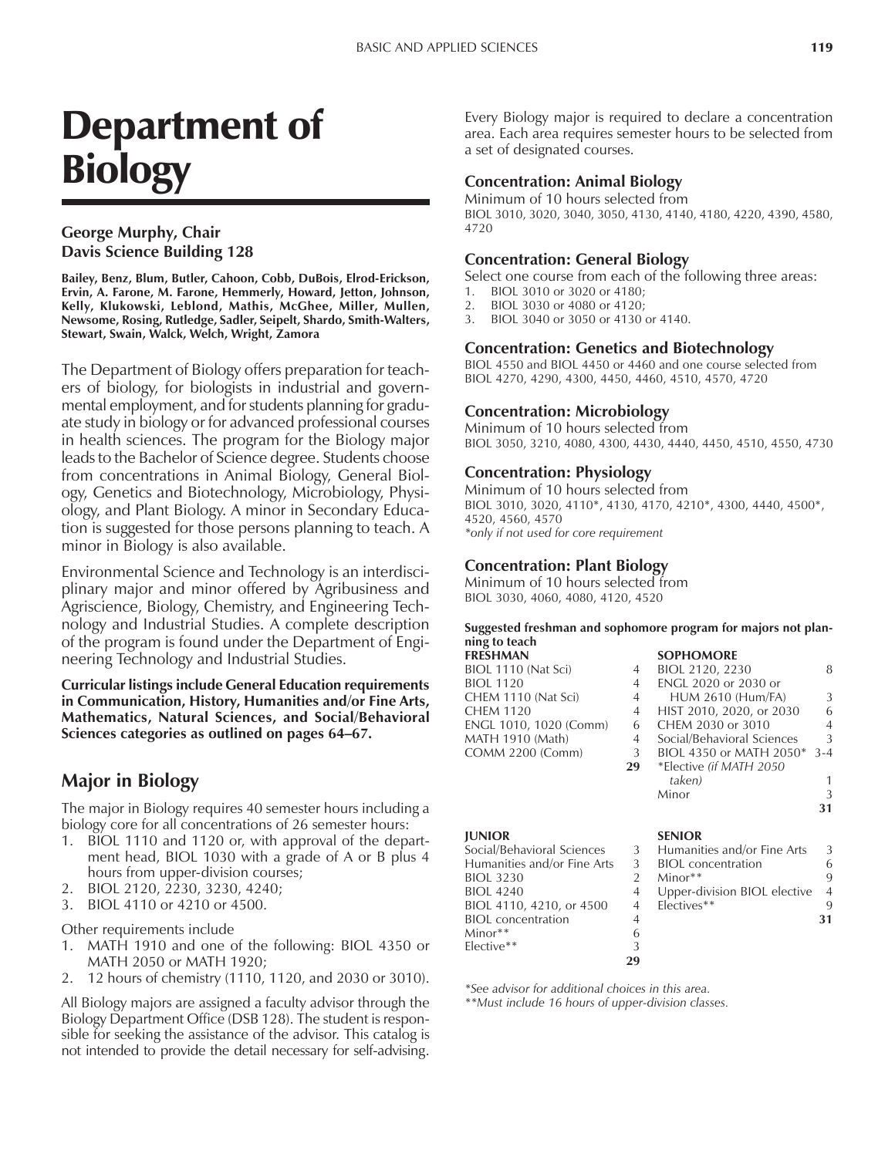# Department of **Biology**

# **George Murphy, Chair Davis Science Building 128**

**Bailey, Benz, Blum, Butler, Cahoon, Cobb, DuBois, Elrod-Erickson, Ervin, A. Farone, M. Farone, Hemmerly, Howard, Jetton, Johnson, Kelly, Klukowski, Leblond, Mathis, McGhee, Miller, Mullen, Newsome, Rosing, Rutledge, Sadler, Seipelt, Shardo, Smith-Walters, Stewart, Swain, Walck, Welch, Wright, Zamora**

The Department of Biology offers preparation for teachers of biology, for biologists in industrial and governmental employment, and for students planning for graduate study in biology or for advanced professional courses in health sciences. The program for the Biology major leads to the Bachelor of Science degree. Students choose from concentrations in Animal Biology, General Biology, Genetics and Biotechnology, Microbiology, Physiology, and Plant Biology. A minor in Secondary Education is suggested for those persons planning to teach. A minor in Biology is also available.

Environmental Science and Technology is an interdisciplinary major and minor offered by Agribusiness and Agriscience, Biology, Chemistry, and Engineering Technology and Industrial Studies. A complete description of the program is found under the Department of Engineering Technology and Industrial Studies.

**Curricular listings include General Education requirements in Communication, History, Humanities and/or Fine Arts, Mathematics, Natural Sciences, and Social/Behavioral** Sciences categories as outlined on pages 64–67.

# **Major in Biology**

The major in Biology requires 40 semester hours including a biology core for all concentrations of 26 semester hours:

- 1. BIOL 1110 and 1120 or, with approval of the department head, BIOL 1030 with a grade of A or B plus 4 hours from upper-division courses;
- 2. BIOL 2120, 2230, 3230, 4240;
- 3. BIOL 4110 or 4210 or 4500.

Other requirements include

- 1. MATH 1910 and one of the following: BIOL 4350 or MATH 2050 or MATH 1920;
- 2. 12 hours of chemistry (1110, 1120, and 2030 or 3010).

All Biology majors are assigned a faculty advisor through the Biology Department Office (DSB 128). The student is responsible for seeking the assistance of the advisor. This catalog is not intended to provide the detail necessary for self-advising.

Every Biology major is required to declare a concentration area. Each area requires semester hours to be selected from a set of designated courses.

## **Concentration: Animal Biology**

Minimum of 10 hours selected from BIOL 3010, 3020, 3040, 3050, 4130, 4140, 4180, 4220, 4390, 4580, 4720

#### **Concentration: General Biology**

Select one course from each of the following three areas:

- 1. BIOL 3010 or 3020 or 4180;
- 2. BIOL 3030 or 4080 or 4120;
- 3. BIOL 3040 or 3050 or 4130 or 4140.

#### **Concentration: Genetics and Biotechnology**

BIOL 4550 and BIOL 4450 or 4460 and one course selected from BIOL 4270, 4290, 4300, 4450, 4460, 4510, 4570, 4720

#### **Concentration: Microbiology**

Minimum of 10 hours selected from BIOL 3050, 3210, 4080, 4300, 4430, 4440, 4450, 4510, 4550, 4730

#### **Concentration: Physiology**

Minimum of 10 hours selected from BIOL 3010, 3020, 4110\*, 4130, 4170, 4210\*, 4300, 4440, 4500\*, 4520, 4560, 4570 *\*only if not used for core requirement*

## **Concentration: Plant Biology**

Minimum of 10 hours selected from BIOL 3030, 4060, 4080, 4120, 4520

#### **Suggested freshman and sophomore program for majors not planning to teach**

| <b>FRESHMAN</b>        |                | <b>SOPHOMORE</b>           |               |
|------------------------|----------------|----------------------------|---------------|
| BIOL 1110 (Nat Sci)    | 4              | BIOL 2120, 2230            | 8             |
| <b>BIOL 1120</b>       | $\overline{4}$ | ENGL 2020 or 2030 or       |               |
| CHEM 1110 (Nat Sci)    | $4 \quad$      | <b>HUM 2610 (Hum/FA)</b>   | 3             |
| CHEM 1120              |                | 4 HIST 2010, 2020, or 2030 | 6             |
| ENGL 1010, 1020 (Comm) | 6              | CHEM 2030 or 3010          | 4             |
| MATH 1910 (Math)       | $\overline{4}$ | Social/Behavioral Sciences | $\mathcal{L}$ |
| COMM 2200 (Comm)       | 3              | BIOL 4350 or MATH 2050*    | $3 - 4$       |
|                        | 29             | *Elective (if MATH 2050    |               |
|                        |                |                            |               |

|                             |   | taken)                       |                |
|-----------------------------|---|------------------------------|----------------|
|                             |   | Minor                        | 3              |
|                             |   |                              | 31             |
| <b>JUNIOR</b>               |   | <b>SENIOR</b>                |                |
| Social/Behavioral Sciences  | 3 | Humanities and/or Fine Arts  | 3              |
| Humanities and/or Fine Arts | 3 | <b>BIOL</b> concentration    | 6              |
| <b>BIOL 3230</b>            |   | $Minor**$                    | 9              |
| <b>BIOL 4240</b>            | 4 | Upper-division BIOL elective | $\overline{4}$ |
| BIOL 4110, 4210, or 4500    | 4 | Electives**                  | 9              |
| <b>BIOL</b> concentration   |   |                              | 31             |
| Minor <sup>**</sup>         | 6 |                              |                |
| Elective**                  |   |                              |                |

**29**

*\*See advisor for additional choices in this area. \*\*Must include 16 hours of upper-division classes.*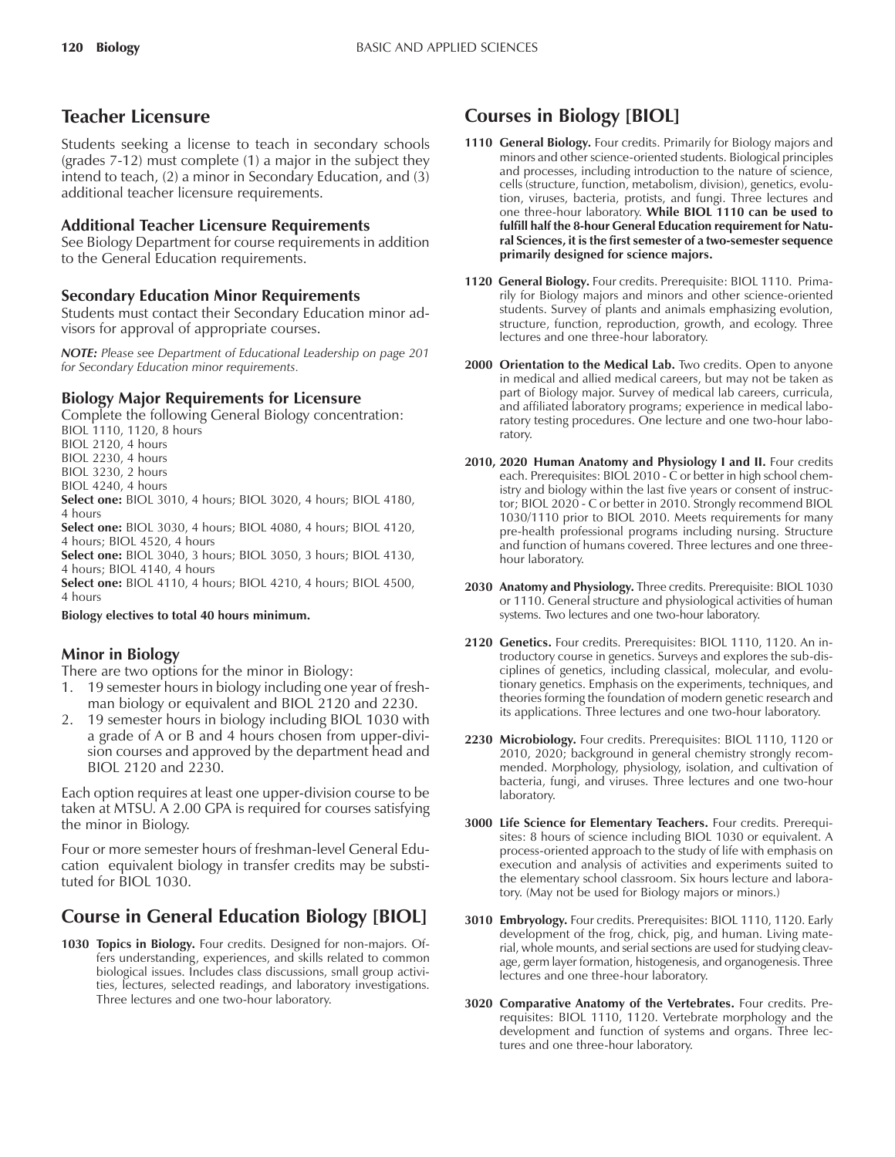# **Teacher Licensure**

Students seeking a license to teach in secondary schools (grades 7-12) must complete (1) a major in the subject they intend to teach, (2) a minor in Secondary Education, and (3) additional teacher licensure requirements.

## **Additional Teacher Licensure Requirements**

See Biology Department for course requirements in addition to the General Education requirements.

## **Secondary Education Minor Requirements**

Students must contact their Secondary Education minor advisors for approval of appropriate courses.

*NOTE: Please see Department of Educational Leadership on page 201 for Secondary Education minor requirements.*

# **Biology Major Requirements for Licensure**

Complete the following General Biology concentration:

BIOL 1110, 1120, 8 hours

BIOL 2120, 4 hours

BIOL 2230, 4 hours

BIOL 3230, 2 hours BIOL 4240, 4 hours

**Select one:** BIOL 3010, 4 hours; BIOL 3020, 4 hours; BIOL 4180, 4 hours

**Select one:** BIOL 3030, 4 hours; BIOL 4080, 4 hours; BIOL 4120, 4 hours; BIOL 4520, 4 hours

**Select one:** BIOL 3040, 3 hours; BIOL 3050, 3 hours; BIOL 4130, 4 hours; BIOL 4140, 4 hours

**Select one:** BIOL 4110, 4 hours; BIOL 4210, 4 hours; BIOL 4500, 4 hours

#### **Biology electives to total 40 hours minimum.**

# **Minor in Biology**

There are two options for the minor in Biology:

- 1. 19 semester hours in biology including one year of freshman biology or equivalent and BIOL 2120 and 2230.
- 2. 19 semester hours in biology including BIOL 1030 with a grade of A or B and 4 hours chosen from upper-division courses and approved by the department head and BIOL 2120 and 2230.

Each option requires at least one upper-division course to be taken at MTSU. A 2.00 GPA is required for courses satisfying the minor in Biology.

Four or more semester hours of freshman-level General Education equivalent biology in transfer credits may be substituted for BIOL 1030.

# **Course in General Education Biology [BIOL]**

**1030 Topics in Biology.** Four credits. Designed for non-majors. Offers understanding, experiences, and skills related to common biological issues. Includes class discussions, small group activities, lectures, selected readings, and laboratory investigations. Three lectures and one two-hour laboratory.

# **Courses in Biology [BIOL]**

- **1110 General Biology.** Four credits. Primarily for Biology majors and minors and other science-oriented students. Biological principles and processes, including introduction to the nature of science, cells (structure, function, metabolism, division), genetics, evolution, viruses, bacteria, protists, and fungi. Three lectures and one three-hour laboratory. **While BIOL 1110 can be used to fulfill half the 8-hour General Education requirement for Natural Sciences, it is the first semester of a two-semester sequence primarily designed for science majors.**
- **1120 General Biology.** Four credits. Prerequisite: BIOL 1110. Primarily for Biology majors and minors and other science-oriented students. Survey of plants and animals emphasizing evolution, structure, function, reproduction, growth, and ecology. Three lectures and one three-hour laboratory.
- **2000 Orientation to the Medical Lab.** Two credits. Open to anyone in medical and allied medical careers, but may not be taken as part of Biology major. Survey of medical lab careers, curricula, and affiliated laboratory programs; experience in medical laboratory testing procedures. One lecture and one two-hour laboratory.
- 2010, 2020 Human Anatomy and Physiology I and II. Four credits each. Prerequisites: BIOL 2010 - C or better in high school chemistry and biology within the last five years or consent of instructor; BIOL 2020 - C or better in 2010. Strongly recommend BIOL 1030/1110 prior to BIOL 2010. Meets requirements for many pre-health professional programs including nursing. Structure and function of humans covered. Three lectures and one threehour laboratory.
- **2030 Anatomy and Physiology.** Three credits. Prerequisite: BIOL 1030 or 1110. General structure and physiological activities of human systems. Two lectures and one two-hour laboratory.
- **2120 Genetics.** Four credits. Prerequisites: BIOL 1110, 1120. An introductory course in genetics. Surveys and explores the sub-disciplines of genetics, including classical, molecular, and evolutionary genetics. Emphasis on the experiments, techniques, and theories forming the foundation of modern genetic research and its applications. Three lectures and one two-hour laboratory.
- **2230 Microbiology.** Four credits. Prerequisites: BIOL 1110, 1120 or 2010, 2020; background in general chemistry strongly recommended. Morphology, physiology, isolation, and cultivation of bacteria, fungi, and viruses. Three lectures and one two-hour laboratory.
- **3000 Life Science for Elementary Teachers.** Four credits. Prerequisites: 8 hours of science including BIOL 1030 or equivalent. A process-oriented approach to the study of life with emphasis on execution and analysis of activities and experiments suited to the elementary school classroom. Six hours lecture and laboratory. (May not be used for Biology majors or minors.)
- **3010 Embryology.** Four credits. Prerequisites: BIOL 1110, 1120. Early development of the frog, chick, pig, and human. Living material, whole mounts, and serial sections are used for studying cleavage, germ layer formation, histogenesis, and organogenesis. Three lectures and one three-hour laboratory.
- **3020 Comparative Anatomy of the Vertebrates.** Four credits. Prerequisites: BIOL 1110, 1120. Vertebrate morphology and the development and function of systems and organs. Three lectures and one three-hour laboratory.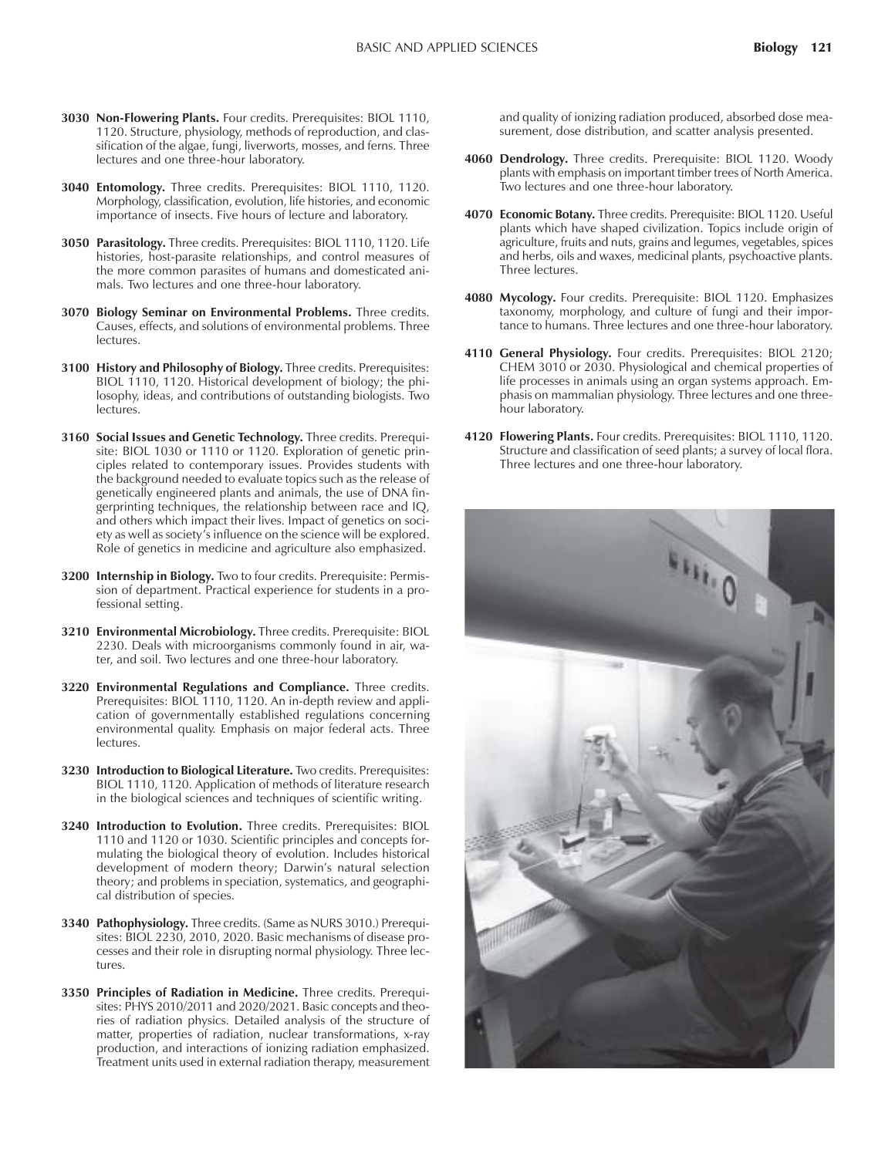- **3030 Non-Flowering Plants.** Four credits. Prerequisites: BIOL 1110, 1120. Structure, physiology, methods of reproduction, and classification of the algae, fungi, liverworts, mosses, and ferns. Three lectures and one three-hour laboratory.
- **3040 Entomology.** Three credits. Prerequisites: BIOL 1110, 1120. Morphology, classification, evolution, life histories, and economic importance of insects. Five hours of lecture and laboratory.
- **3050 Parasitology.** Three credits. Prerequisites: BIOL 1110, 1120. Life histories, host-parasite relationships, and control measures of the more common parasites of humans and domesticated animals. Two lectures and one three-hour laboratory.
- **3070 Biology Seminar on Environmental Problems.** Three credits. Causes, effects, and solutions of environmental problems. Three lectures.
- **3100 History and Philosophy of Biology.** Three credits. Prerequisites: BIOL 1110, 1120. Historical development of biology; the philosophy, ideas, and contributions of outstanding biologists. Two lectures.
- **3160 Social Issues and Genetic Technology.** Three credits. Prerequisite: BIOL 1030 or 1110 or 1120. Exploration of genetic principles related to contemporary issues. Provides students with the background needed to evaluate topics such as the release of genetically engineered plants and animals, the use of DNA fingerprinting techniques, the relationship between race and IQ, and others which impact their lives. Impact of genetics on society as well as society's influence on the science will be explored. Role of genetics in medicine and agriculture also emphasized.
- **3200 Internship in Biology.** Two to four credits. Prerequisite: Permission of department. Practical experience for students in a professional setting.
- **3210 Environmental Microbiology.** Three credits. Prerequisite: BIOL 2230. Deals with microorganisms commonly found in air, water, and soil. Two lectures and one three-hour laboratory.
- **3220 Environmental Regulations and Compliance.** Three credits. Prerequisites: BIOL 1110, 1120. An in-depth review and application of governmentally established regulations concerning environmental quality. Emphasis on major federal acts. Three lectures.
- **3230 Introduction to Biological Literature.** Two credits. Prerequisites: BIOL 1110, 1120. Application of methods of literature research in the biological sciences and techniques of scientific writing.
- **3240 Introduction to Evolution.** Three credits. Prerequisites: BIOL 1110 and 1120 or 1030. Scientific principles and concepts formulating the biological theory of evolution. Includes historical development of modern theory; Darwin's natural selection theory; and problems in speciation, systematics, and geographical distribution of species.
- **3340 Pathophysiology.** Three credits. (Same as NURS 3010.) Prerequisites: BIOL 2230, 2010, 2020. Basic mechanisms of disease processes and their role in disrupting normal physiology. Three lectures.
- **3350 Principles of Radiation in Medicine.** Three credits. Prerequisites: PHYS 2010/2011 and 2020/2021. Basic concepts and theories of radiation physics. Detailed analysis of the structure of matter, properties of radiation, nuclear transformations, x-ray production, and interactions of ionizing radiation emphasized. Treatment units used in external radiation therapy, measurement

and quality of ionizing radiation produced, absorbed dose measurement, dose distribution, and scatter analysis presented.

- **4060 Dendrology.** Three credits. Prerequisite: BIOL 1120. Woody plants with emphasis on important timber trees of North America. Two lectures and one three-hour laboratory.
- **4070 Economic Botany.** Three credits. Prerequisite: BIOL 1120. Useful plants which have shaped civilization. Topics include origin of agriculture, fruits and nuts, grains and legumes, vegetables, spices and herbs, oils and waxes, medicinal plants, psychoactive plants. Three lectures.
- **4080 Mycology.** Four credits. Prerequisite: BIOL 1120. Emphasizes taxonomy, morphology, and culture of fungi and their importance to humans. Three lectures and one three-hour laboratory.
- **4110 General Physiology.** Four credits. Prerequisites: BIOL 2120; CHEM 3010 or 2030. Physiological and chemical properties of life processes in animals using an organ systems approach. Emphasis on mammalian physiology. Three lectures and one threehour laboratory.
- **4120 Flowering Plants.** Four credits. Prerequisites: BIOL 1110, 1120. Structure and classification of seed plants; a survey of local flora. Three lectures and one three-hour laboratory.

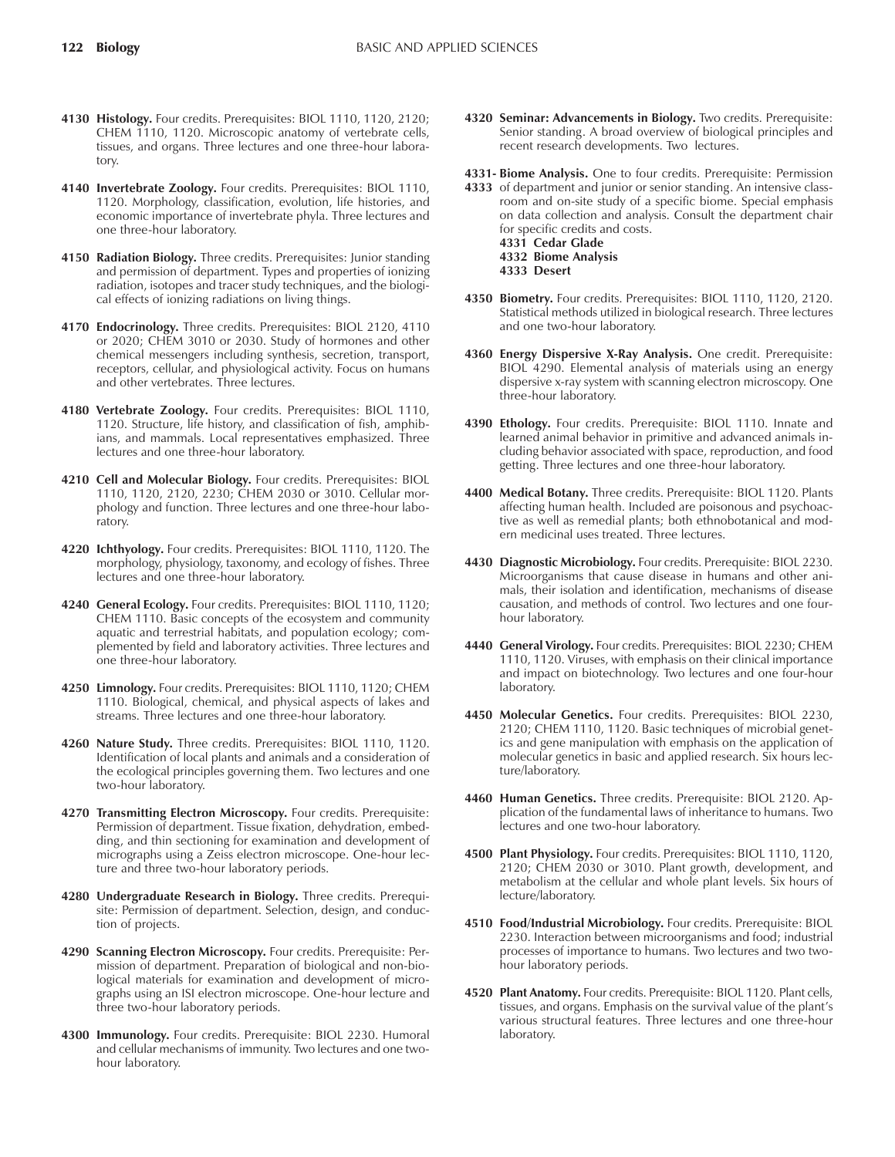- **4130 Histology.** Four credits. Prerequisites: BIOL 1110, 1120, 2120; CHEM 1110, 1120. Microscopic anatomy of vertebrate cells, tissues, and organs. Three lectures and one three-hour laboratory.
- **4140 Invertebrate Zoology.** Four credits. Prerequisites: BIOL 1110, 1120. Morphology, classification, evolution, life histories, and economic importance of invertebrate phyla. Three lectures and one three-hour laboratory.
- **4150 Radiation Biology.** Three credits. Prerequisites: Junior standing and permission of department. Types and properties of ionizing radiation, isotopes and tracer study techniques, and the biological effects of ionizing radiations on living things.
- **4170 Endocrinology.** Three credits. Prerequisites: BIOL 2120, 4110 or 2020; CHEM 3010 or 2030. Study of hormones and other chemical messengers including synthesis, secretion, transport, receptors, cellular, and physiological activity. Focus on humans and other vertebrates. Three lectures.
- **4180 Vertebrate Zoology.** Four credits. Prerequisites: BIOL 1110, 1120. Structure, life history, and classification of fish, amphibians, and mammals. Local representatives emphasized. Three lectures and one three-hour laboratory.
- **4210 Cell and Molecular Biology.** Four credits. Prerequisites: BIOL 1110, 1120, 2120, 2230; CHEM 2030 or 3010. Cellular morphology and function. Three lectures and one three-hour laboratory.
- **4220 Ichthyology.** Four credits. Prerequisites: BIOL 1110, 1120. The morphology, physiology, taxonomy, and ecology of fishes. Three lectures and one three-hour laboratory.
- **4240 General Ecology.** Four credits. Prerequisites: BIOL 1110, 1120; CHEM 1110. Basic concepts of the ecosystem and community aquatic and terrestrial habitats, and population ecology; complemented by field and laboratory activities. Three lectures and one three-hour laboratory.
- **4250 Limnology.** Four credits. Prerequisites: BIOL 1110, 1120; CHEM 1110. Biological, chemical, and physical aspects of lakes and streams. Three lectures and one three-hour laboratory.
- **4260 Nature Study.** Three credits. Prerequisites: BIOL 1110, 1120. Identification of local plants and animals and a consideration of the ecological principles governing them. Two lectures and one two-hour laboratory.
- **4270 Transmitting Electron Microscopy.** Four credits. Prerequisite: Permission of department. Tissue fixation, dehydration, embedding, and thin sectioning for examination and development of micrographs using a Zeiss electron microscope. One-hour lecture and three two-hour laboratory periods.
- **4280 Undergraduate Research in Biology.** Three credits. Prerequisite: Permission of department. Selection, design, and conduction of projects.
- **4290 Scanning Electron Microscopy.** Four credits. Prerequisite: Permission of department. Preparation of biological and non-biological materials for examination and development of micrographs using an ISI electron microscope. One-hour lecture and three two-hour laboratory periods.
- **4300 Immunology.** Four credits. Prerequisite: BIOL 2230. Humoral and cellular mechanisms of immunity. Two lectures and one twohour laboratory.

**4320 Seminar: Advancements in Biology.** Two credits. Prerequisite: Senior standing. A broad overview of biological principles and recent research developments. Two lectures.

**4331- Biome Analysis.** One to four credits. Prerequisite: Permission

- **4333** of department and junior or senior standing. An intensive classroom and on-site study of a specific biome. Special emphasis on data collection and analysis. Consult the department chair for specific credits and costs. **4331 Cedar Glade 4332 Biome Analysis 4333 Desert**
- **4350 Biometry.** Four credits. Prerequisites: BIOL 1110, 1120, 2120. Statistical methods utilized in biological research. Three lectures and one two-hour laboratory.
- **4360 Energy Dispersive X-Ray Analysis.** One credit. Prerequisite: BIOL 4290. Elemental analysis of materials using an energy dispersive x-ray system with scanning electron microscopy. One three-hour laboratory.
- **4390 Ethology.** Four credits. Prerequisite: BIOL 1110. Innate and learned animal behavior in primitive and advanced animals including behavior associated with space, reproduction, and food getting. Three lectures and one three-hour laboratory.
- **4400 Medical Botany.** Three credits. Prerequisite: BIOL 1120. Plants affecting human health. Included are poisonous and psychoactive as well as remedial plants; both ethnobotanical and modern medicinal uses treated. Three lectures.
- **4430 Diagnostic Microbiology.** Four credits. Prerequisite: BIOL 2230. Microorganisms that cause disease in humans and other animals, their isolation and identification, mechanisms of disease causation, and methods of control. Two lectures and one fourhour laboratory.
- **4440 General Virology.** Four credits. Prerequisites: BIOL 2230; CHEM 1110, 1120. Viruses, with emphasis on their clinical importance and impact on biotechnology. Two lectures and one four-hour laboratory.
- **4450 Molecular Genetics.** Four credits. Prerequisites: BIOL 2230, 2120; CHEM 1110, 1120. Basic techniques of microbial genetics and gene manipulation with emphasis on the application of molecular genetics in basic and applied research. Six hours lecture/laboratory.
- **4460 Human Genetics.** Three credits. Prerequisite: BIOL 2120. Application of the fundamental laws of inheritance to humans. Two lectures and one two-hour laboratory.
- **4500 Plant Physiology.** Four credits. Prerequisites: BIOL 1110, 1120, 2120; CHEM 2030 or 3010. Plant growth, development, and metabolism at the cellular and whole plant levels. Six hours of lecture/laboratory.
- **4510 Food/Industrial Microbiology.** Four credits. Prerequisite: BIOL 2230. Interaction between microorganisms and food; industrial processes of importance to humans. Two lectures and two twohour laboratory periods.
- **4520 Plant Anatomy.** Four credits. Prerequisite: BIOL 1120. Plant cells, tissues, and organs. Emphasis on the survival value of the plant's various structural features. Three lectures and one three-hour laboratory.